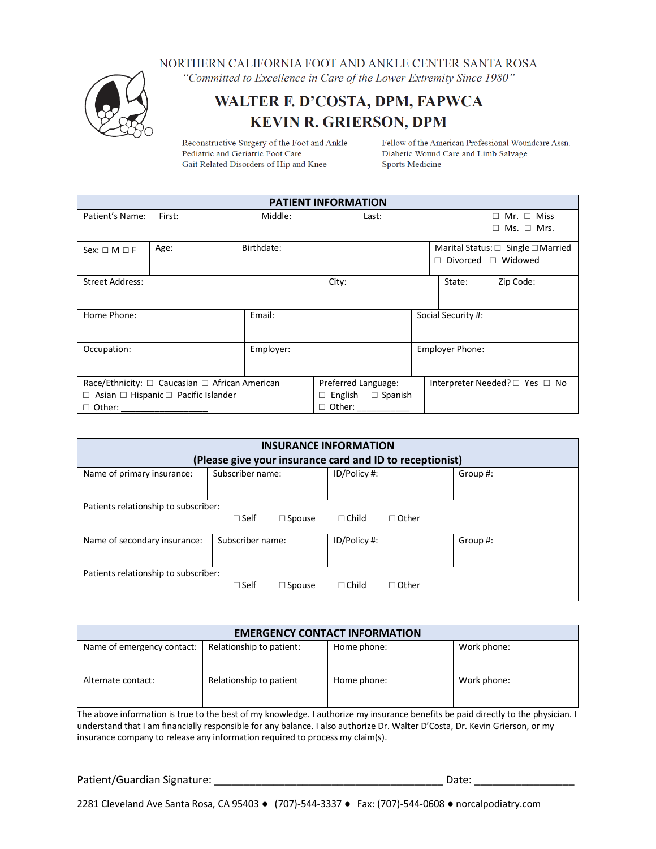

### "Committed to Excellence in Care of the Lower Extremity Since 1980"

## WALTER F. D'COSTA, DPM, FAPWCA **KEVIN R. GRIERSON, DPM**

Reconstructive Surgery of the Foot and Ankle Pediatric and Geriatric Foot Care Gait Related Disorders of Hip and Knee

Fellow of the American Professional Woundcare Assn. Diabetic Wound Care and Limb Salvage **Sports Medicine** 

| <b>PATIENT INFORMATION</b>                           |        |            |                               |  |                                |                                    |
|------------------------------------------------------|--------|------------|-------------------------------|--|--------------------------------|------------------------------------|
| Patient's Name:                                      | First: | Middle:    | Last:                         |  |                                | $\Box$ Mr. $\Box$ Miss             |
|                                                      |        |            |                               |  |                                | Ms. $\Box$ Mrs.<br>$\Box$          |
| Sex: $\Box$ M $\Box$ F                               | Age:   | Birthdate: |                               |  |                                | Marital Status: □ Single □ Married |
|                                                      |        |            |                               |  | $\Box$ Divorced $\Box$ Widowed |                                    |
| <b>Street Address:</b>                               |        |            | City:                         |  | State:                         | Zip Code:                          |
|                                                      |        |            |                               |  |                                |                                    |
| Home Phone:                                          |        | Email:     |                               |  | Social Security #:             |                                    |
|                                                      |        |            |                               |  |                                |                                    |
| Employer:<br>Occupation:                             |        |            | <b>Employer Phone:</b>        |  |                                |                                    |
|                                                      |        |            |                               |  |                                |                                    |
| Race/Ethnicity: □ Caucasian □ African American       |        |            | Preferred Language:           |  |                                | Interpreter Needed? □ Yes □ No     |
| $\Box$ Asian $\Box$ Hispanic $\Box$ Pacific Islander |        |            | $\Box$ English $\Box$ Spanish |  |                                |                                    |
| Other: ____________<br>$\Box$                        |        |            |                               |  |                                |                                    |

| <b>INSURANCE INFORMATION</b><br>(Please give your insurance card and ID to receptionist) |                  |               |              |              |          |
|------------------------------------------------------------------------------------------|------------------|---------------|--------------|--------------|----------|
| Name of primary insurance:                                                               | Subscriber name: |               | ID/Policy #: |              | Group #: |
| Patients relationship to subscriber:                                                     |                  |               |              |              |          |
|                                                                                          | $\Box$ Self      | $\Box$ Spouse | $\Box$ Child | $\Box$ Other |          |
| Name of secondary insurance:                                                             | Subscriber name: |               | ID/Policy #: |              | Group #: |
| Patients relationship to subscriber:                                                     | $\Box$ Self      | $\Box$ Spouse | $\Box$ Child | $\Box$ Other |          |

| <b>EMERGENCY CONTACT INFORMATION</b> |                          |             |             |  |
|--------------------------------------|--------------------------|-------------|-------------|--|
| Name of emergency contact:           | Relationship to patient: | Home phone: | Work phone: |  |
|                                      |                          |             |             |  |
| Alternate contact:                   | Relationship to patient  | Home phone: | Work phone: |  |

The above information is true to the best of my knowledge. I authorize my insurance benefits be paid directly to the physician. I understand that I am financially responsible for any balance. I also authorize Dr. Walter D'Costa, Dr. Kevin Grierson, or my insurance company to release any information required to process my claim(s).

Patient/Guardian Signature: \_\_\_\_\_\_\_\_\_\_\_\_\_\_\_\_\_\_\_\_\_\_\_\_\_\_\_\_\_\_\_\_\_\_\_\_\_\_\_ Date: \_\_\_\_\_\_\_\_\_\_\_\_\_\_\_\_\_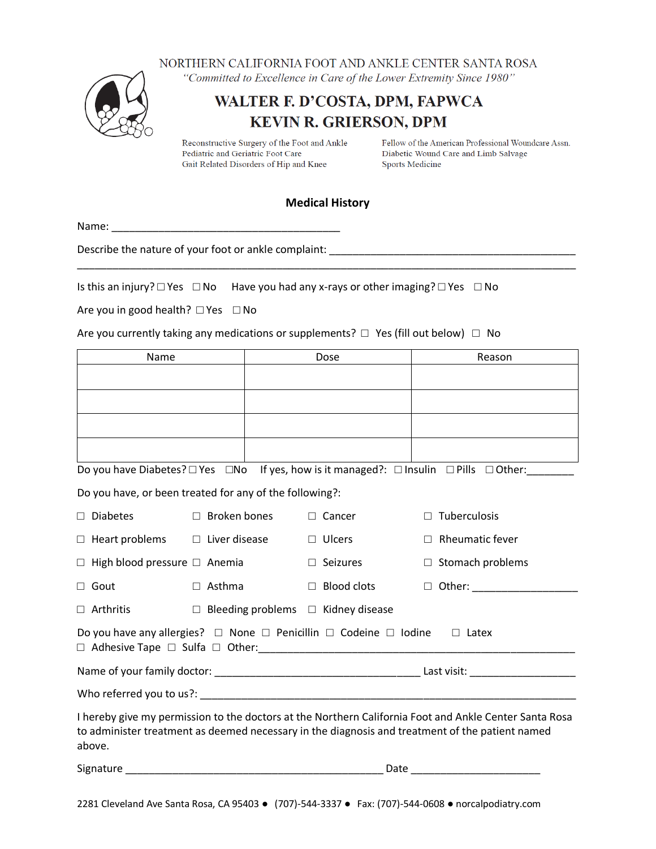

# "Committed to Excellence in Care of the Lower Extremity Since 1980"

## WALTER F. D'COSTA, DPM, FAPWCA **KEVIN R. GRIERSON, DPM**

Reconstructive Surgery of the Foot and Ankle Pediatric and Geriatric Foot Care Pediatric and Geriatric Foot Care<br>Gait Related Disorders of Hip and Knee

Fellow of the American Professional Woundcare Assn. Diabetic Wound Care and Limb Salvage **Sports Medicine** 

### **Medical History**

\_\_\_\_\_\_\_\_\_\_\_\_\_\_\_\_\_\_\_\_\_\_\_\_\_\_\_\_\_\_\_\_\_\_\_\_\_\_\_\_\_\_\_\_\_\_\_\_\_\_\_\_\_\_\_\_\_\_\_\_\_\_\_\_\_\_\_\_\_\_\_\_\_\_\_\_\_\_\_\_\_\_\_\_\_

Name: \_\_\_\_\_\_\_\_\_\_\_\_\_\_\_\_\_\_\_\_\_\_\_\_\_\_\_\_\_\_\_\_\_\_\_\_\_\_\_

| Describe the nature of your foot or ankle complaint: |  |
|------------------------------------------------------|--|
|                                                      |  |

Is this an injury? □ Yes □ No Have you had any x-rays or other imaging? □ Yes □ No

Are you in good health?  $\Box$  Yes  $\Box$  No

Are you currently taking any medications or supplements?  $\Box$  Yes (fill out below)  $\Box$  No

| Name | Dose | Reason |  |  |
|------|------|--------|--|--|
|      |      |        |  |  |
|      |      |        |  |  |
|      |      |        |  |  |
|      |      |        |  |  |
|      |      |        |  |  |
|      |      |        |  |  |
|      |      |        |  |  |
|      |      |        |  |  |

Do you have Diabetes? □ Yes □No If yes, how is it managed?: □ Insulin □ Pills □ Other: \_\_\_\_\_\_\_\_

Do you have, or been treated for any of the following?:

| $\Box$ Diabetes                                                                                                                                                                                                     | $\Box$ Broken bones                            | Cancer                    | Tuberculosis<br>п                  |  |
|---------------------------------------------------------------------------------------------------------------------------------------------------------------------------------------------------------------------|------------------------------------------------|---------------------------|------------------------------------|--|
| $\Box$ Heart problems $\Box$ Liver disease                                                                                                                                                                          |                                                | $\Box$ Ulcers             | $\Box$ Rheumatic fever             |  |
| $\Box$ High blood pressure $\Box$ Anemia                                                                                                                                                                            |                                                | <b>Seizures</b><br>$\Box$ | $\Box$ Stomach problems            |  |
| $\Box$ Gout                                                                                                                                                                                                         | $\Box$ Asthma                                  | $\Box$ Blood clots        |                                    |  |
| $\Box$ Arthritis                                                                                                                                                                                                    | $\Box$ Bleeding problems $\Box$ Kidney disease |                           |                                    |  |
| Do you have any allergies? $\Box$ None $\Box$ Penicillin $\Box$ Codeine $\Box$ Iodine<br>$\Box$ Latex                                                                                                               |                                                |                           |                                    |  |
|                                                                                                                                                                                                                     |                                                |                           | Last visit: ______________________ |  |
|                                                                                                                                                                                                                     |                                                |                           |                                    |  |
| I hereby give my permission to the doctors at the Northern California Foot and Ankle Center Santa Rosa<br>to administer treatment as deemed necessary in the diagnosis and treatment of the patient named<br>above. |                                                |                           |                                    |  |

Signature \_\_\_\_\_\_\_\_\_\_\_\_\_\_\_\_\_\_\_\_\_\_\_\_\_\_\_\_\_\_\_\_\_\_\_\_\_\_\_\_\_\_\_\_ Date \_\_\_\_\_\_\_\_\_\_\_\_\_\_\_\_\_\_\_\_\_\_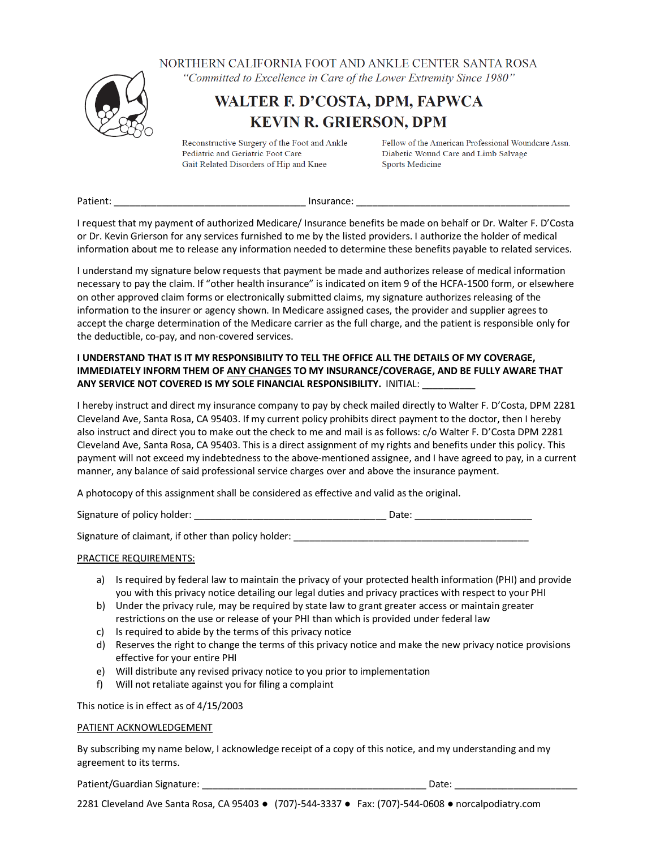

"Committed to Excellence in Care of the Lower Extremity Since 1980"

## WALTER F. D'COSTA, DPM, FAPWCA **KEVIN R. GRIERSON, DPM**

Reconstructive Surgery of the Foot and Ankle Pediatric and Geriatric Foot Care Gait Related Disorders of Hip and Knee

Fellow of the American Professional Woundcare Assn. Diabetic Wound Care and Limb Salvage **Sports Medicine** 

Patient: \_\_\_\_\_\_\_\_\_\_\_\_\_\_\_\_\_\_\_\_\_\_\_\_\_\_\_\_\_\_\_\_\_\_\_\_ Insurance: \_\_\_\_\_\_\_\_\_\_\_\_\_\_\_\_\_\_\_\_\_\_\_\_\_\_\_\_\_\_\_\_\_\_\_\_\_\_\_\_

I request that my payment of authorized Medicare/ Insurance benefits be made on behalf or Dr. Walter F. D'Costa or Dr. Kevin Grierson for any services furnished to me by the listed providers. I authorize the holder of medical information about me to release any information needed to determine these benefits payable to related services.

I understand my signature below requests that payment be made and authorizes release of medical information necessary to pay the claim. If "other health insurance" is indicated on item 9 of the HCFA-1500 form, or elsewhere on other approved claim forms or electronically submitted claims, my signature authorizes releasing of the information to the insurer or agency shown. In Medicare assigned cases, the provider and supplier agrees to accept the charge determination of the Medicare carrier as the full charge, and the patient is responsible only for the deductible, co-pay, and non-covered services.

#### **I UNDERSTAND THAT IS IT MY RESPONSIBILITY TO TELL THE OFFICE ALL THE DETAILS OF MY COVERAGE, IMMEDIATELY INFORM THEM OF ANY CHANGES TO MY INSURANCE/COVERAGE, AND BE FULLY AWARE THAT ANY SERVICE NOT COVERED IS MY SOLE FINANCIAL RESPONSIBILITY.** INITIAL: \_\_\_\_\_\_\_\_\_\_

I hereby instruct and direct my insurance company to pay by check mailed directly to Walter F. D'Costa, DPM 2281 Cleveland Ave, Santa Rosa, CA 95403. If my current policy prohibits direct payment to the doctor, then I hereby also instruct and direct you to make out the check to me and mail is as follows: c/o Walter F. D'Costa DPM 2281 Cleveland Ave, Santa Rosa, CA 95403. This is a direct assignment of my rights and benefits under this policy. This payment will not exceed my indebtedness to the above-mentioned assignee, and I have agreed to pay, in a current manner, any balance of said professional service charges over and above the insurance payment.

A photocopy of this assignment shall be considered as effective and valid as the original.

Signature of policy holder: the contract of policy holder: the contract of the contract of policy holder:

Signature of claimant, if other than policy holder: \_\_\_\_\_\_\_\_\_\_\_\_\_\_\_\_\_\_\_\_\_\_\_\_\_\_\_\_\_\_\_\_\_\_\_\_\_\_\_\_\_\_\_\_

#### PRACTICE REQUIREMENTS:

- a) Is required by federal law to maintain the privacy of your protected health information (PHI) and provide you with this privacy notice detailing our legal duties and privacy practices with respect to your PHI
- b) Under the privacy rule, may be required by state law to grant greater access or maintain greater restrictions on the use or release of your PHI than which is provided under federal law
- c) Is required to abide by the terms of this privacy notice
- d) Reserves the right to change the terms of this privacy notice and make the new privacy notice provisions effective for your entire PHI
- e) Will distribute any revised privacy notice to you prior to implementation
- f) Will not retaliate against you for filing a complaint

This notice is in effect as of 4/15/2003

#### PATIENT ACKNOWLEDGEMENT

By subscribing my name below, I acknowledge receipt of a copy of this notice, and my understanding and my agreement to its terms.

Patient/Guardian Signature: \_\_\_\_\_\_\_\_\_\_\_\_\_\_\_\_\_\_\_\_\_\_\_\_\_\_\_\_\_\_\_\_\_\_\_\_\_\_\_\_\_\_ Date: \_\_\_\_\_\_\_\_\_\_\_\_\_\_\_\_\_\_\_\_\_\_\_